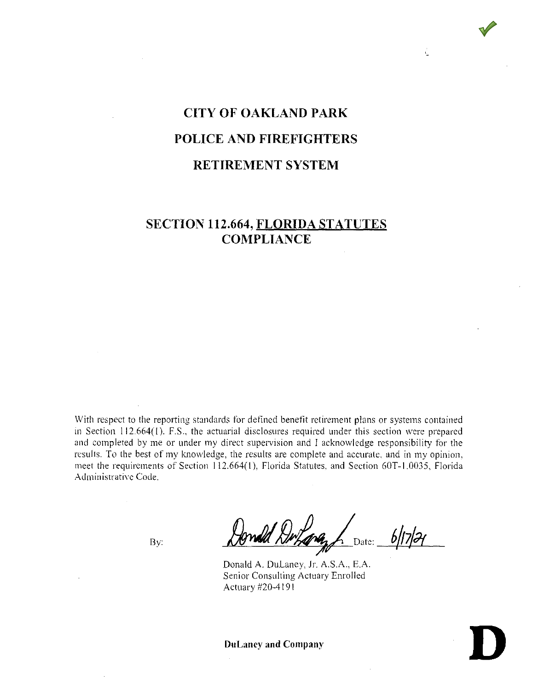# **CITY OF OAKLAND PARK POLICE AND FIREFIGHTERS RETIREMENT SYSTEM**

J.

# **SECTION 112.664, FLORIDA STATUTES COMPLIANCE**

With respect to the reporting standards for defined benefit retirement plans or systems contained in Section 112.664(1). F.S., the actuarial disclosures required under this section were prepared and completed by me or under my direct supervision and I acknowledge responsibility for the results. To the best of my knowledge, the results are complete and accurate. and in my opinion, meet the requirements of Section 112.664(1 ), Florida Statutes, and Section G0T-1.0035, Florida Administrative Code.

By: *Donald Drham, bl17/21* 

Donald A. Dulaney, Jr. A.S.A., E.A. Senior Consulting Actuary Enrolled Actuary #20-4191

**Du Laney and Company Du Laney and Company D**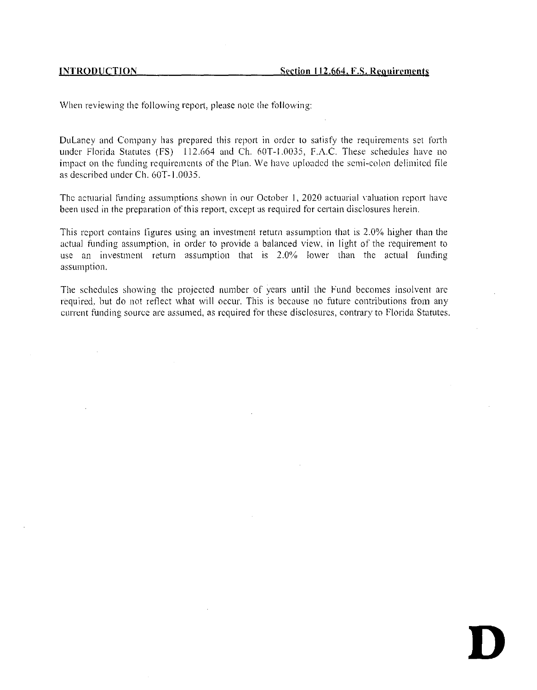**D** 

When reviewing the following report, please note the following:

DuLaney and Company has prepared this report in order to satisfy the requirements set forth under Florida Statutes (FS) 112.664 and Ch. 60T-1.0035, F.A.C. These schedules have no impact on the funding requirements of the Plan. We have uploaded the semi-colon delimited file as described under Ch. 60T-1.0035.

The actuarial funding assumptions shown in our October 1, 2020 actuarial valuation report have been used in the preparation of this report, except as required for certain disclosures herein.

This report contains figures using an investment return assumption that is 2.0% higher than the actual funding assumption, in order to provide a balanced view, in light of the requirement to use an investment return assumption that is 2.0%, lower than the actual funding assumption.

The schedules showing the projected number of years until the Fund becomes insolvent are required. but do not reflect what will occur. This is because no future contributions from any current funding source arc assumed, as required for these disclosures, contrary to Florida Statutes.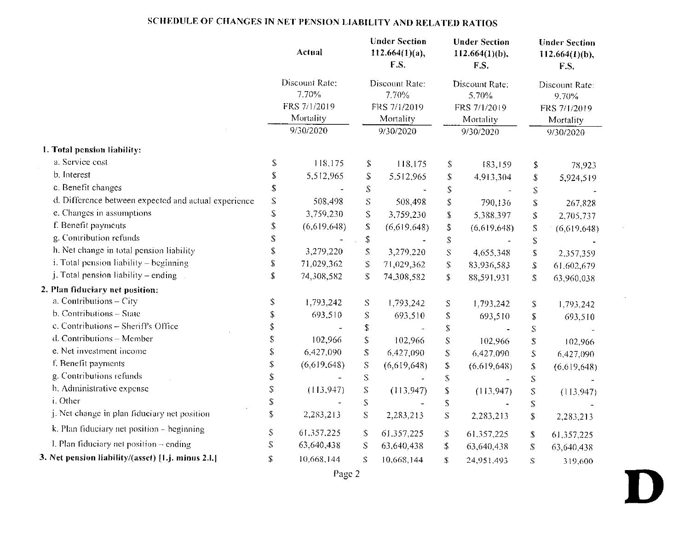# **SCHEDULE OF CHANGES TN NET PENSION LIABILITY AND RELATED RATIOS**

|                                                      |                                | Actual         |                                                                         | <b>Under Section</b><br>$112.664(1)(a)$ ,<br>F.S. |                   | <b>Under Section</b><br>$112.664(1)(b)$ .<br>F.S. |                                                                                                                            | <b>Under Section</b><br>112.664 $(1)(b)$ ,<br>F.S. |
|------------------------------------------------------|--------------------------------|----------------|-------------------------------------------------------------------------|---------------------------------------------------|-------------------|---------------------------------------------------|----------------------------------------------------------------------------------------------------------------------------|----------------------------------------------------|
|                                                      |                                | Discount Rate: |                                                                         | Discount Rate:                                    |                   | Discount Rate:                                    |                                                                                                                            | Discount Rate:                                     |
|                                                      |                                | 7.70%          |                                                                         | 7.70%                                             |                   | 5.70%                                             |                                                                                                                            | 9.70%                                              |
|                                                      |                                | FRS 7/1/2019   |                                                                         | FRS 7/1/2019                                      |                   | FRS 7/1/2019                                      |                                                                                                                            | FRS 7/1/2019                                       |
|                                                      |                                | Mortality      |                                                                         | Mortality                                         |                   | Mortality                                         |                                                                                                                            | Mortality                                          |
|                                                      |                                | 9/30/2020      |                                                                         | 9/30/2020                                         |                   | 9/30/2020                                         |                                                                                                                            | 9/30/2020                                          |
| 1. Total pension liability:                          |                                |                |                                                                         |                                                   |                   |                                                   |                                                                                                                            |                                                    |
| a. Service cost                                      | \$                             | 118,175        | \$                                                                      | 118,175                                           | S                 | 183,159                                           | \$                                                                                                                         | 78,923                                             |
| b. Interest                                          | S                              | 5,512,965      | \$                                                                      | 5,512,965                                         | \$                | 4,913,304                                         | \$                                                                                                                         | 5,924,519                                          |
| c. Benefit changes                                   | \$                             |                | $\mathbb{S}$                                                            | $\overline{\phantom{a}}$                          | \$                |                                                   | $\mathbb{S}$                                                                                                               |                                                    |
| d. Difference between expected and actual experience | S                              | 508.498        | S                                                                       | 508,498                                           | \$                | 790,136                                           | \$                                                                                                                         | 267,828                                            |
| e. Changes in assumptions                            | S                              | 3,759,230      | $\mathbf S$                                                             | 3,759,230                                         | $\mathbb S$       | 5,388,397                                         | \$                                                                                                                         | 2,705,737                                          |
| f. Benefit payments                                  | \$                             | (6,619,648)    | \$                                                                      | (6,619,648)                                       | \$                | (6,619,648)                                       | S                                                                                                                          | (6,619,648)                                        |
| g. Contribution refunds                              | \$                             |                | $\mathbb{S}$                                                            |                                                   | $\mathbb{S}$      |                                                   | $\mathbb S$                                                                                                                |                                                    |
| h. Net change in total pension liability             | \$                             | 3,279,220      | ${\mathbb S}$                                                           | 3,279,220                                         | S                 | 4,655,348                                         | \$                                                                                                                         | 2,357,359                                          |
| i. Total pension liability - beginning               | \$                             | 71,029,362     | $\mathbb{S}$                                                            | 71,029,362                                        | \$                | 83,936,583                                        | \$                                                                                                                         | 61,602,679                                         |
| j. Total pension liability – ending                  | \$                             | 74,308,582     | \$                                                                      | 74,308,582                                        | \$                | 88,591,931                                        | \$                                                                                                                         | 63,960,038                                         |
| 2. Plan fiduciary net position:                      |                                |                |                                                                         |                                                   |                   |                                                   |                                                                                                                            |                                                    |
| a. Contributions - City                              | \$                             | 1,793,242      | $\mathcal S$                                                            | 1,793,242                                         | S                 | 1,793,242                                         | \$                                                                                                                         | 1,793,242                                          |
| b. Contributions - State                             | \$                             | 693,510        | $\mathbb{S}% _{C}^{X\text{}}(\theta)=\mathbb{S}_{C}^{X\text{}}(\theta)$ | 693,510                                           | \$                | 693,510                                           | \$                                                                                                                         | 693,510                                            |
| c. Contributions - Sheriff's Office                  | \$                             |                | $\mathbb{S}$                                                            |                                                   | \$                |                                                   | ${\bf S}$                                                                                                                  |                                                    |
| d. Contributions - Member                            | $\stackrel{\ast}{\mathcal{S}}$ | 102,966        | $\mathbbm{S}$                                                           | 102,966                                           | $\mathbb{S}$      | 102,966                                           | $\mathbb S$                                                                                                                | 102,966                                            |
| e. Net investment income                             | \$                             | 6.427,090      | $\mathbb S$                                                             | 6,427,090                                         | \$                | 6,427,090                                         | $\mathbb{S}$                                                                                                               | 6.427,090                                          |
| f. Benefit payments                                  | \$                             | (6,619,648)    | $\mathbb S$                                                             | (6,619,648)                                       | S                 | (6.619, 648)                                      | $\mathbf S$                                                                                                                | (6.619, 648)                                       |
| g. Contributions refunds                             | \$                             |                | $\mathbf S$                                                             |                                                   | $\ddot{\text{S}}$ |                                                   | $\mathbb S$                                                                                                                |                                                    |
| h. Administrative expense                            | $\mathbb{S}$                   | (113.947)      | S                                                                       | (113, 947)                                        | $\mathbb{S}$      | (113, 947)                                        | $\mathbb S$                                                                                                                | (113.947)                                          |
| i. Other                                             | $\mathbb{S}$                   |                | $\mathbb{S}$                                                            |                                                   | ${\mathbb S}$     |                                                   | $\mathbb{S}% _{C}^{X\text{}}(\theta)=\mathbb{E}_{A}\left( \mathbb{S}\right) ^{\ast}\mathbb{E}_{A}\left( \mathbb{S}\right)$ |                                                    |
| j. Net change in plan fiduciary net position         | $\mathbb S$                    | 2,283,213      | S                                                                       | 2,283,213                                         | $\mathbb{S}$      | 2,283,213                                         | \$                                                                                                                         | 2,283,213                                          |
| $k$ . Plan fiduciary net position $-$ beginning      | \$                             | 61,357,225     | S.                                                                      | 61.357,225                                        | $\mathbb{S}$      | 61.357,225                                        | -5                                                                                                                         | 61,357,225                                         |
| 1. Plan fiduciary net position $-$ ending            | \$                             | 63,640.438     | S                                                                       | 63,640,438                                        | \$                | 63,640,438                                        | \$                                                                                                                         | 63,640,438                                         |
| 3. Net pension liability/(asset) [1.j. minus 2.1.]   | $\mathbb{S}$                   | 10,668,144     | Š.                                                                      | 10,668,144                                        | \$                | 24.951.493                                        | $\mathcal{S}$                                                                                                              | 319,600                                            |

 $\sim$ 

 $\sim 10^{-1}$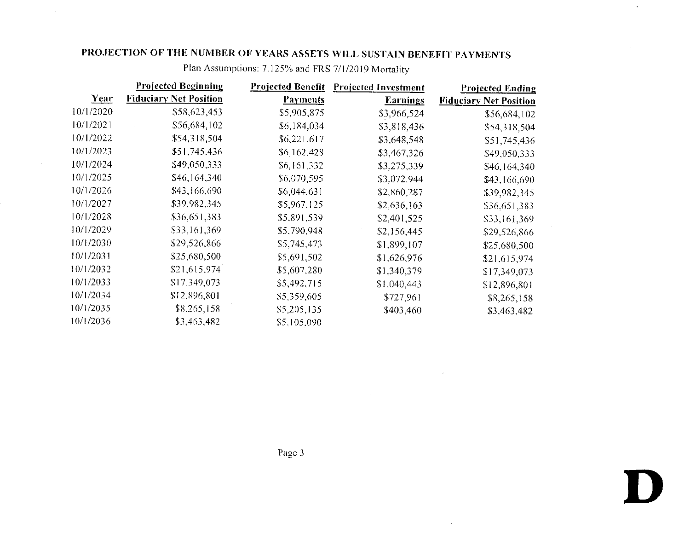|           | <b>Projected Beginning</b>    | <b>Projected Benefit</b> | <b>Projected Investment</b> | <b>Projected Ending</b>       |
|-----------|-------------------------------|--------------------------|-----------------------------|-------------------------------|
| Year      | <b>Fiduciary Net Position</b> | <b>Payments</b>          | <b>Earnings</b>             | <b>Fiduciary Net Position</b> |
| 10/1/2020 | \$58,623,453                  | \$5,905,875              | \$3,966,524                 | \$56,684,102                  |
| 10/1/2021 | \$56,684,102                  | \$6,184,034              | \$3,818,436                 | \$54,318,504                  |
| 10/1/2022 | \$54,318,504                  | \$6,221,617              | \$3,648,548                 | \$51,745,436                  |
| 10/1/2023 | \$51,745,436                  | \$6,162.428              | \$3,467,326                 | \$49,050,333                  |
| 10/1/2024 | \$49,050,333                  | \$6,161,332              | \$3,275,339                 | \$46,164,340                  |
| 10/1/2025 | \$46,164.340                  | \$6,070,595              | \$3,072,944                 | \$43,166,690                  |
| 10/1/2026 | \$43,166,690                  | \$6,044,631              | \$2,860,287                 | \$39,982,345                  |
| 10/1/2027 | \$39,982,345                  | \$5,967,125              | \$2,636,163                 | \$36,651,383                  |
| 10/1/2028 | \$36,651,383                  | \$5,891,539              | \$2,401,525                 | \$33,161,369                  |
| 10/1/2029 | \$33,161,369                  | \$5,790,948              | \$2,156,445                 | \$29,526,866                  |
| 10/1/2030 | \$29,526,866                  | \$5,745,473              | \$1,899,107                 | \$25,680,500                  |
| 10/1/2031 | \$25,680,500                  | \$5,691,502              | \$1,626.976                 | \$21,615,974                  |
| 10/1/2032 | \$21,615,974                  | \$5,607,280              | \$1.340.379                 | \$17,349,073                  |
| 10/1/2033 | \$17,349,073                  | \$5,492,715              | \$1,040,443                 | \$12,896,801                  |
| 10/1/2034 | \$12,896,801                  | \$5,359,605              | \$727,961                   | \$8,265,158                   |
| 10/1/2035 | \$8,265,158                   | \$5,205,135              | \$403,460                   | \$3,463,482                   |
| 10/1/2036 | \$3,463,482                   | \$5,105,090              |                             |                               |

 $\sim$ 

Plan Assumptions: 7.125% and FRS 7/1/2019 Mortality

 $\sim 100$ 

 $\sim 10^{-1}$ 

**D** 

 $\langle \cdot \rangle$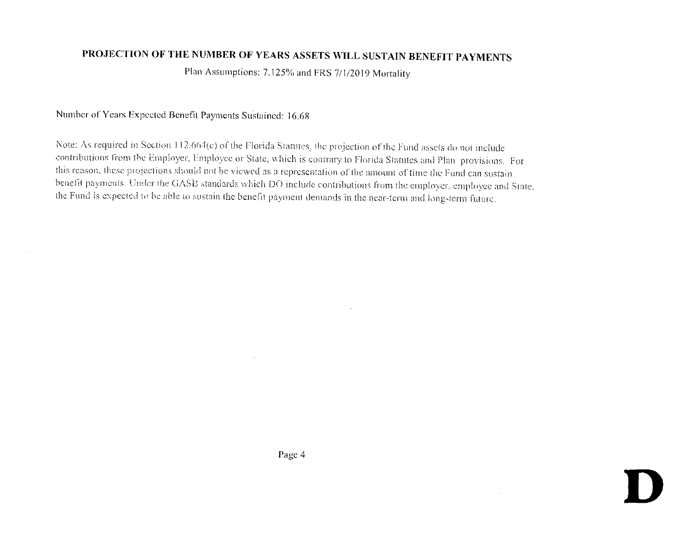Plan Assumptions: 7.125% and FRS 7/1/2019 Mortality

#### Number of Years Expected Benefit Payments Sustained: 16.68

Note: As required in Section 112.664(c) of the Florida Statutes, the projection of the Fund assets do not include contributions from the Employer, Employee or State, which is contrary to Florida Statutes and Plan provisions. For this reason, these projections should not be viewed as a representation of the amount of time the Fund can sustain benefit payments. Under the GASB standards which DO include contributions from the employer, employee and State, the Fund is expected to be able to sustain the benefit payment demands in the near-term and long-term future.

Page 4

 $\sim$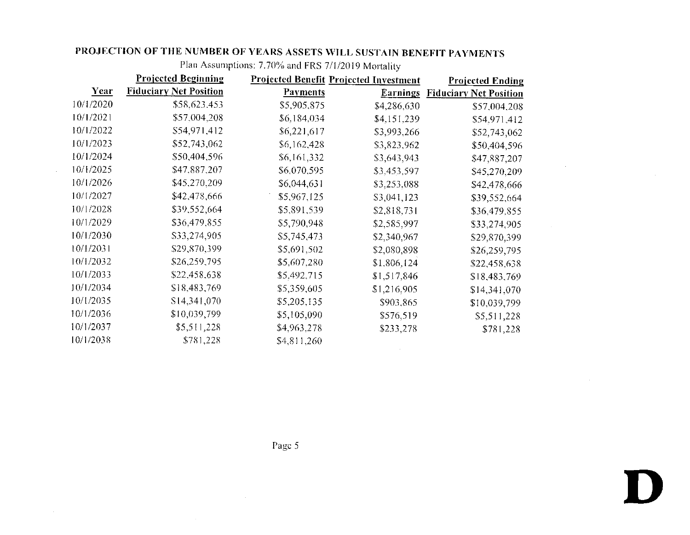|           | <b>Projected Beginning</b>    |                 | <b>Projected Benefit Projected Investment</b> | <b>Projected Ending</b>       |
|-----------|-------------------------------|-----------------|-----------------------------------------------|-------------------------------|
| Year      | <b>Fiduciary Net Position</b> | <b>Payments</b> | <b>Earnings</b>                               | <b>Fiduciary Net Position</b> |
| 10/1/2020 | \$58,623,453                  | \$5,905,875     | \$4,286,630                                   | \$57,004.208                  |
| 10/1/2021 | \$57,004,208                  | \$6,184,034     | \$4,151,239                                   | \$54,971,412                  |
| 10/1/2022 | \$54,971,412                  | \$6,221,617     | \$3,993,266                                   | \$52,743,062                  |
| 10/1/2023 | \$52,743,062                  | \$6,162,428     | \$3,823,962                                   | \$50,404,596                  |
| 10/1/2024 | \$50,404,596                  | \$6,161,332     | \$3,643,943                                   | \$47,887,207                  |
| 10/1/2025 | \$47,887,207                  | \$6,070,595     | \$3,453,597                                   | \$45,270,209                  |
| 10/1/2026 | \$45,270,209                  | \$6,044,631     | \$3,253,088                                   | \$42,478,666                  |
| 10/1/2027 | \$42,478,666                  | \$5,967,125     | \$3,041,123                                   | \$39,552,664                  |
| 10/1/2028 | \$39,552,664                  | \$5,891,539     | \$2,818,731                                   | \$36,479,855                  |
| 10/1/2029 | \$36,479,855                  | \$5,790,948     | \$2,585,997                                   | \$33,274,905                  |
| 10/1/2030 | \$33,274,905                  | \$5,745,473     | \$2,340,967                                   | \$29,870,399                  |
| 10/1/2031 | \$29,870,399                  | \$5,691,502     | \$2,080,898                                   | \$26,259,795                  |
| 10/1/2032 | \$26,259,795                  | \$5,607,280     | \$1,806,124                                   | \$22,458,638                  |
| 10/1/2033 | \$22,458,638                  | \$5,492,715     | \$1,517,846                                   | \$18,483,769                  |
| 10/1/2034 | \$18,483,769                  | \$5,359,605     | \$1,216,905                                   | \$14,341,070                  |
| 10/1/2035 | \$14,341,070                  | \$5,205,135     | \$903,865                                     | \$10,039,799                  |
| 10/1/2036 | \$10,039,799                  | \$5,105,090     | \$576,519                                     | \$5,511,228                   |
| 10/1/2037 | \$5,511,228                   | \$4,963,278     | \$233,278                                     | \$781,228                     |
| 10/1/2038 | \$781,228                     | \$4,811,260     |                                               |                               |

 $\sim$   $\sim$ 

 $\sim$ 

Plan Assumptions: 7.70%, and **FRS** 7/1/2019 Mortality

**Page 5** 

**D**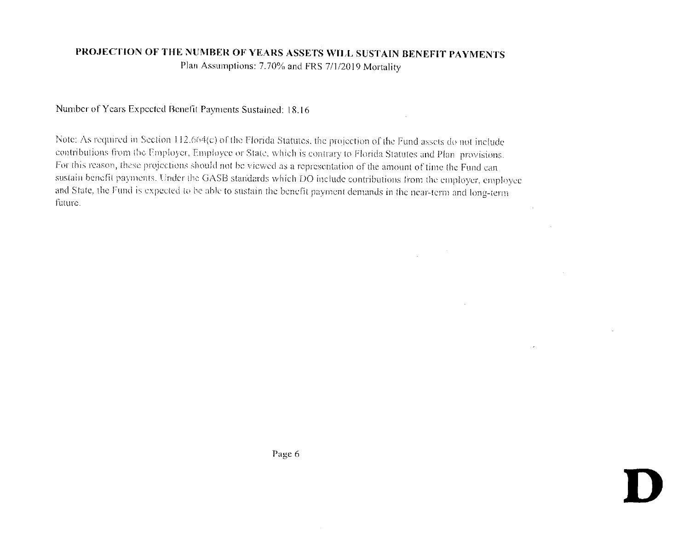Plan Assumptions: 7.70% and FRS 7/1/2019 Mortality

#### Number of Years Expected Benefit Payments Sustained: 18.16

Note: As required in Section 112.664(c) of the Florida Statutes, the projection of the Fund assets do not include contributions from the Employer, Employee or State, which is contrary to Florida Statutes and Plan-provisions. For this reason, these projections should not be viewed as a representation of the amount of time the Fund can sustain benefit payments. Under the GASB standards which DO include contributions from the employer, employee and State, the Fund is expected to be able to sustain the benefit payment demands in the near-term and long-term future.

Page 6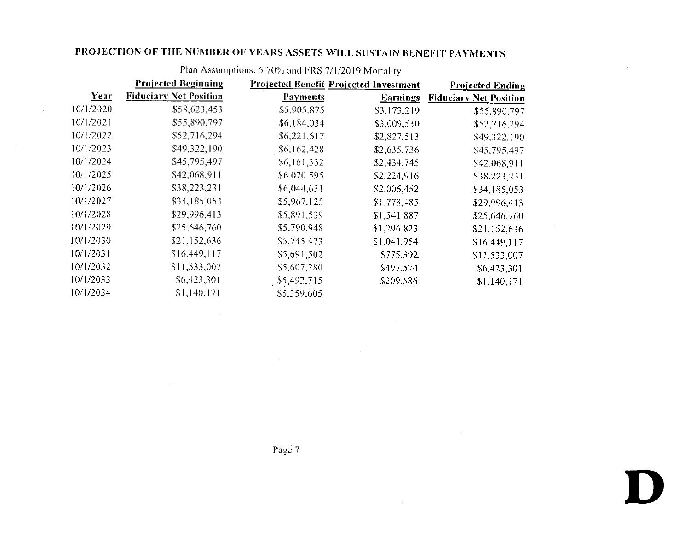$\mathcal{A}$ 

|           | <b>Projected Beginning</b>    | <b>Projected Benefit Projected Investment</b> |                 | <b>Projected Ending</b>       |
|-----------|-------------------------------|-----------------------------------------------|-----------------|-------------------------------|
| Year      | <b>Fiduciary Net Position</b> | <b>Payments</b>                               | <b>Earnings</b> | <b>Fiduciary Net Position</b> |
| 10/1/2020 | \$58,623,453                  | \$5,905,875                                   | \$3,173,219     | \$55,890,797                  |
| 10/1/2021 | \$55,890,797                  | \$6,184,034                                   | \$3,009,530     | \$52,716,294                  |
| 10/1/2022 | \$52,716,294                  | \$6,221,617                                   | \$2,827.513     | \$49,322.190                  |
| 10/1/2023 | \$49,322,190                  | \$6,162,428                                   | \$2,635,736     | \$45,795,497                  |
| 10/1/2024 | \$45,795,497                  | \$6,161,332                                   | \$2,434,745     | \$42,068.911                  |
| 10/1/2025 | \$42,068,911                  | \$6,070.595                                   | \$2,224,916     | \$38,223,231                  |
| 10/1/2026 | \$38,223,231                  | \$6,044,631                                   | \$2,006,452     | \$34,185,053                  |
| 10/1/2027 | \$34,185,053                  | \$5,967.125                                   | \$1,778,485     | \$29,996,413                  |
| 10/1/2028 | \$29,996,413                  | \$5,891,539                                   | \$1,541,887     | \$25,646.760                  |
| 10/1/2029 | \$25,646,760                  | \$5,790,948                                   | \$1,296,823     | \$21,152,636                  |
| 10/1/2030 | \$21,152,636                  | \$5,745,473                                   | \$1,041,954     | \$16,449,117                  |
| 10/1/2031 | \$16,449,117                  | \$5,691,502                                   | \$775,392       | \$11,533,007                  |
| 10/1/2032 | \$11,533,007                  | \$5,607,280                                   | \$497,574       | \$6,423,301                   |
| 10/1/2033 | \$6,423,301                   | \$5,492,715                                   | \$209,586       | \$1,140,171                   |
| 10/1/2034 | \$1,140,171                   | \$5,359,605                                   |                 |                               |

 $\sim 10^{-1}$ 

 $\sim 10^{-1}$ 

Plan Assumptions: 5.70% and FRS 7/1/2019 Mortality

Page 7

 $\sim 10^6$ 

 $\sim 100$ 

 $\sim$ 

**D**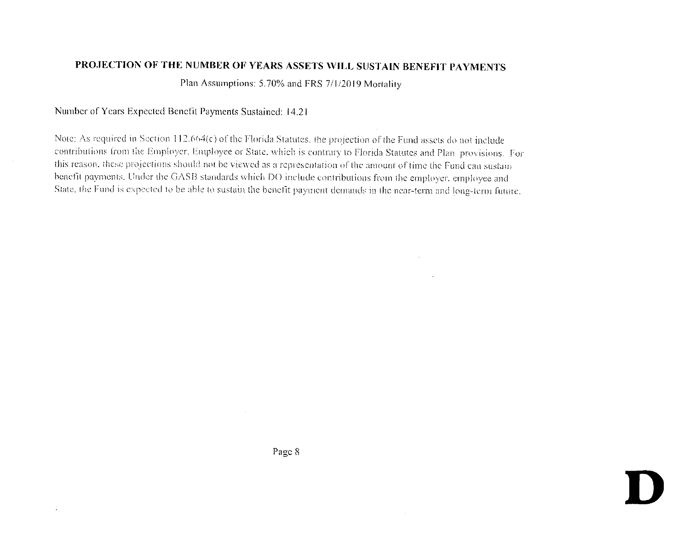Plan Assumptions: 5.70% and FRS 7/1/2019 Mortality

#### Number of Years Expected Benefit Payments Sustained: 14.21

Note: As required in Section 112.664(c) of the Florida Statutes, the projection of the Fund assets do not include contributions from the Employer, Employee or State, which is contrary to Florida Statutes and Plan provisions. For this reason, these projections should not be viewed as a representation of the amount of time the Fund can sustain benefit payments. Under the GASB standards which DO include contributions from the employer, employee and State, the Fund is expected to be able to sustain the benefit payment demands in the near-term and long-term future.

Page 8

 $\sim$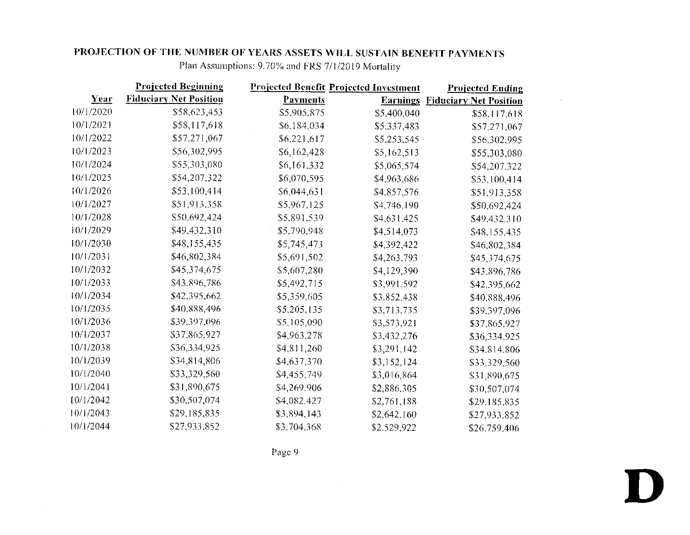|           | <b>Projected Beginning</b>    | <b>Projected Benefit Projected Investment</b> |             | <b>Projected Ending</b>                |
|-----------|-------------------------------|-----------------------------------------------|-------------|----------------------------------------|
| Year      | <b>Fiduciary Net Position</b> | <b>Payments</b>                               |             | <b>Earnings Fiduciary Net Position</b> |
| 10/1/2020 | \$58,623,453                  | \$5,905,875                                   | \$5,400,040 | \$58,117,618                           |
| 10/1/2021 | \$58,117,618                  | \$6,184,034                                   | \$5,337,483 | \$57,271,067                           |
| 10/1/2022 | \$57.271,067                  | \$6,221,617                                   | \$5,253,545 | \$56,302,995                           |
| 10/1/2023 | \$56,302,995                  | \$6,162,428                                   | \$5,162,513 | \$55,303,080                           |
| 10/1/2024 | \$55,303,080                  | \$6,161,332                                   | \$5,065,574 | \$54,207,322                           |
| 10/1/2025 | \$54,207,322                  | \$6,070,595                                   | \$4,963,686 | \$53,100,414                           |
| 10/1/2026 | \$53,100,414                  | \$6,044,631                                   | \$4,857,576 | \$51,913,358                           |
| 10/1/2027 | \$51,913,358                  | \$5,967,125                                   | \$4,746.190 | \$50,692,424                           |
| 10/1/2028 | \$50,692,424                  | \$5,891,539                                   | \$4,631,425 | \$49,432,310                           |
| 10/1/2029 | \$49,432.310                  | \$5,790,948                                   | \$4,514,073 | \$48,155,435                           |
| 10/1/2030 | \$48,155,435                  | \$5,745,473                                   | \$4,392,422 | \$46,802,384                           |
| 10/1/2031 | \$46,802,384                  | \$5,691,502                                   | \$4,263,793 | \$45,374,675                           |
| 10/1/2032 | \$45,374,675                  | \$5,607,280                                   | \$4,129,390 | \$43,896,786                           |
| 10/1/2033 | \$43,896,786                  | \$5,492,715                                   | \$3,991,592 | \$42,395,662                           |
| 10/1/2034 | \$42,395,662                  | \$5,359,605                                   | \$3.852,438 | \$40,888,496                           |
| 10/1/2035 | \$40,888,496                  | \$5,205,135                                   | \$3,713,735 | \$39.397,096                           |
| 10/1/2036 | \$39,397,096                  | \$5,105,090                                   | \$3,573,921 | \$37,865,927                           |
| 10/1/2037 | \$37,865,927                  | \$4,963,278                                   | \$3,432,276 | \$36,334,925                           |
| 10/1/2038 | \$36,334,925                  | \$4,811,260                                   | \$3,291,142 | \$34,814.806                           |
| 10/1/2039 | \$34,814,806                  | \$4,637,370                                   | \$3,152,124 | \$33,329,560                           |
| 10/1/2040 | \$33,329,560                  | \$4,455,749                                   | \$3,016,864 | \$31,890,675                           |
| 10/1/2041 | \$31,890,675                  | \$4,269,906                                   | \$2,886,305 | \$30,507,074                           |
| 10/1/2042 | \$30,507,074                  | \$4,082,427                                   | \$2,761,188 | \$29,185,835                           |
| 10/1/2043 | \$29,185,835                  | \$3,894,143                                   | \$2,642,160 | \$27,933,852                           |
| 10/1/2044 | \$27,933,852                  | \$3,704,368                                   | \$2,529,922 | \$26.759,406                           |

Plan Assumptions: 9.70% and FRS 7/1/2019 Mortality

 $\sim 10^7$ 

Page 9

 $\sim$ 

 $\sim 100$  km s  $^{-1}$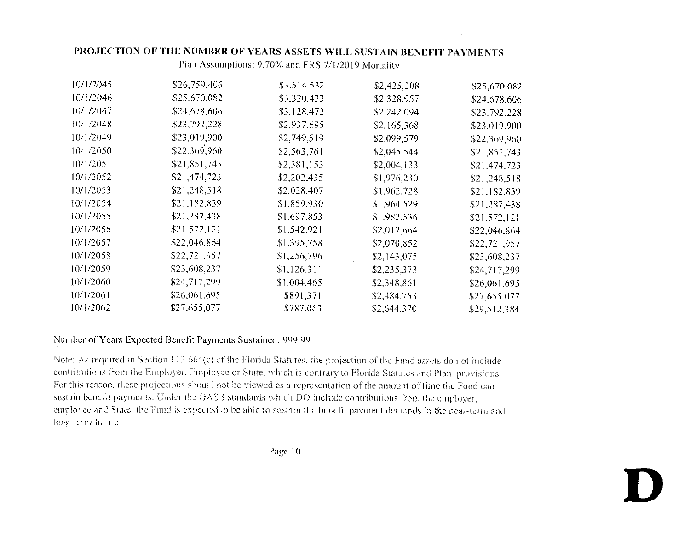Plan Assumptions: 9.70% and FRS 7/1/2019 Mortality

| 10/1/2045 | \$26,759,406 | \$3,514,532 | \$2,425,208 | \$25,670,082 |
|-----------|--------------|-------------|-------------|--------------|
| 10/1/2046 | \$25,670,082 | \$3,320,433 | \$2,328,957 | \$24,678,606 |
| 10/1/2047 | \$24,678,606 | \$3,128,472 | \$2,242,094 | \$23,792,228 |
| 10/1/2048 | \$23,792,228 | \$2,937,695 | \$2,165,368 | \$23,019,900 |
| 10/1/2049 | \$23,019,900 | \$2,749.519 | \$2,099,579 | \$22,369,960 |
| 10/1/2050 | \$22,369,960 | \$2,563.761 | \$2,045,544 | \$21,851,743 |
| 10/1/2051 | \$21,851,743 | \$2,381,153 | \$2,004,133 | \$21,474,723 |
| 10/1/2052 | \$21,474,723 | \$2,202,435 | \$1,976,230 | \$21,248,518 |
| 10/1/2053 | \$21,248,518 | \$2,028,407 | \$1,962,728 | \$21,182,839 |
| 10/1/2054 | \$21,182,839 | \$1,859,930 | \$1,964.529 | \$21,287,438 |
| 10/1/2055 | \$21,287,438 | \$1,697,853 | \$1,982,536 | \$21,572,121 |
| 10/1/2056 | \$21,572,121 | \$1,542,921 | \$2,017,664 | \$22,046,864 |
| 10/1/2057 | \$22,046,864 | \$1,395,758 | \$2,070,852 | \$22,721,957 |
| 10/1/2058 | \$22,721.957 | \$1,256,796 | \$2,143,075 | \$23,608,237 |
| 10/1/2059 | \$23,608,237 | \$1,126,311 | \$2,235.373 | \$24,717,299 |
| 10/1/2060 | \$24,717,299 | \$1,004,465 | \$2,348,861 | \$26,061,695 |
| 10/1/2061 | \$26,061.695 | \$891,371   | \$2,484,753 | \$27,655,077 |
| 10/1/2062 | \$27,655,077 | \$787.063   | \$2,644,370 | \$29,512,384 |

#### Number of Years Expected Benefit Payments Sustained: 999.99

Note: As required in Section 112.664(c) of the Florida Statutes, the projection of the Fund assets do not include contributions from the Employer, Employee or State, which is contrary to Florida Statutes and Plan provisions. For this reason, these projections should not be viewed as a representation of the amount of time the Fund cansustain benefit payments. Under the GASB standards which DO include contributions from the employer, employee and State, the Fund is expected to be able to sustain the benefit payment demands in the near-term and long-term future.

Page 10

**D**